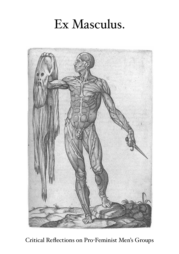# Ex Masculus.



Critical Reflections on Pro-Feminist Men's Groups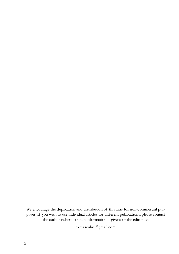We encourage the duplication and distribution of this zine for non-commercial purposes. If you wish to use individual articles for different publications, please contact the author (where contact information is given) or the editors at

exmasculus@gmail.com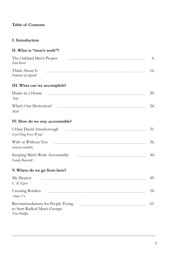# **Table of Contents**

# **I. Introduction**

| II. What is "men's work"?                                                          |     |
|------------------------------------------------------------------------------------|-----|
| The Oakland Men's Project<br>Paul Kivel                                            | 6.  |
| Think About It<br>Feminist by default                                              | 16. |
| III. What can we accomplish?                                                       |     |
| Dudes in a House<br>Toby                                                           | 20. |
| What's Our Motivation?<br>Matt                                                     | 24. |
| IV. How do we stay accountable?                                                    |     |
| I Hate David Attenborough<br>Geyl Fling Force Wynd                                 | 31. |
| With or Without You<br>vanessa vendetta                                            | 36. |
| Lundy Bancroft                                                                     | 44. |
| V. Where do we go from here?                                                       |     |
| My Dearest<br>C. B. Egret                                                          | 49. |
| <b>Crossing Borders</b><br>Anna Vo                                                 | 54. |
| Recommendations for People Trying<br>to Start Radical Men's Groups<br>Tim Phillips | 61. |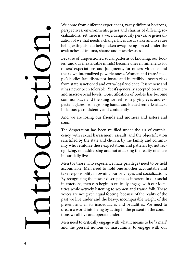# Introduction.

We come from different experiences, vastly different horizons, perspectives, environments, genes and chasms of differing socializations. Yet there is a we, a dangerously pervasive generalization of we that needs a change. Lives are at stake and lives are being extinguished; being taken away, being forced under the avalanches of trauma, shame and powerlessness.

Because of unquestioned social patterns of knowing, our bodies (and our inextricable minds) become uneven minefields for others' expectations and judgments, for others' violence and their own internalized powerlessness. Women and trans\* people's bodies face disproportionate and incredibly uneven risks from state sanctioned and extra-legal violence. It isn't new and it has never been tolerable. Yet it's generally accepted on micro and macro-social levels. Objectification of bodies has become commonplace and the sting we feel from prying eyes and expectant glares, from groping hands and loaded remarks attacks insidiously, consistently and confidently.

And we are losing our friends and mothers and sisters and sons.

The desperation has been muffled under the air of complacency with sexual harassment, assault, and the objectification sanctified by the state and church, by the family and community who reinforce these expectations and patterns by, not recognizing, not addressing and not attacking the reality of abuse in our daily lives.

Men (or those who experience male privilege) need to be held accountable. Men need to hold one another accountable and take responsibility in owning our privileges and socializations. By recognizing the power discrepancies inherent in our social interactions, men can begin to critically engage with our identities while actively listening to women and trans\* folk. These voices are not given equal footing, because of the reality of the past we live under and the heavy, incomparable weight of the present and all its inadequacies and brutalities. We need to dream a world into being by acting in the present in the conditions we all live and operate under.

Men need to critically engage with what it means to be "a man" and the present notions of masculinity, to engage with our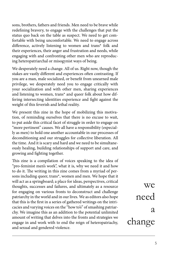sons, brothers, fathers and friends. Men need to be brave while redefining bravery, to engage with the challenges that put the status quo back on the table as suspect. We need to get comfortable with being uncomfortable. We need to engage across difference, actively listening to women and trans\* folk and their experiences, their anger and frustration and needs, while engaging with and confronting other men who are reproducing heteropatriarchal or misogynist ways of being.

We desperately need a change. All of us. Right now, though the stakes are vastly different and experiences often contrasting. If you are a man, male socialized, or benefit from unearned male privilege, we desperately need you to engage critically with your socialization and with other men, sharing experiences and listening to women, trans\* and queer folk about how differing intersecting identities experience and fight against the weight of this feverish and lethal reality.

We present this zine in the hope of mobilizing this motivation, of reminding ourselves that there is no excuse to wait, to put aside this critical facet of struggle in order to engage on "more pertinent" causes. We all have a responsibility (especially as men) to hold one another accountable in our processes of deconditioning and our struggles for collective liberation. All the time. And it is scary and hard and we need to be simultaneously healing, building relationships of support and care, and growing and fighting together.

This zine is a compilation of voices speaking to the idea of "pro-feminist men's work", what it is, why we need it and how to do it. The writing in this zine comes from a myriad of persons including queer, trans\*, women and men. We hope that it will act as a springboard; a place for ideas, perspectives, critical thoughts, successes and failures, and ultimately as a resource for engaging on various fronts to deconstruct and challenge patriarchy in the world and in our lives. We as editors also hope that this is the first in a series of gathered writings on the intricacies and varying voices on the "how to's" of smashing patriarchy. We imagine this as an addition to the potential unlimited amount of writing that delves into the fronts and strategies we engage in and work with to end the reign of heteropatriachy, and sexual and gendered violence.

we need  $\mathcal{A}_{\cdot}$ change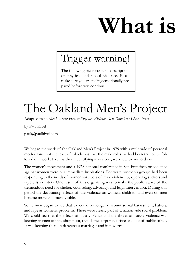# **What is**

# Trigger warning!

The following piece contains descriptions of physical and sexual violence. Please make sure you are feeling emotionally prepared before you continue.

# The Oakland Men's Project

Adapted from *Men's Work: How to Stop the Violence That Tears Our Lives Apart*

by Paul Kivel

paul@paulkivel.com

We began the work of the Oakland Men's Project in 1979 with a multitude of personal motivations, not the least of which was that the male roles we had been trained to follow didn't work. Even without identifying it as a box, we knew we wanted out.

The women's movement and a 1978 national conference in San Francisco on violence against women were our immediate inspirations. For years, women's groups had been responding to the needs of women survivors of male violence by operating shelters and rape crisis centers. One result of this organizing was to make the public aware of the tremendous need for shelter, counseling, advocacy, and legal intervention. During this period the devastating effects of the violence on women, children, and even on men became more and more visible.

Some men began to see that we could no longer discount sexual harassment, battery, and rape as women's problems. These were clearly part of a nationwide social problem. We could see that the effects of past violence and the threat of future violence was keeping women off the shop floor, out of the corporate office, and out of public office. It was keeping them in dangerous marriages and in poverty.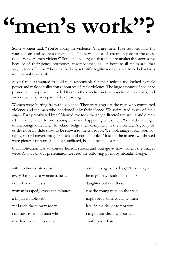# **"men's work"?**

Some women said, "You're doing the violence. You are men. Take responsibility for your actions and address other men." There was a lot of attention paid to the question, "Why are men violent?" Some people argued that men are unalterably aggressive because of their genes, hormones, chromosomes, or just because all males are "that way." None of these "theories" had any scientific legitimacy, however. Male behavior is immeasurably variable.

Most feminists wanted to hold men responsible for their actions and looked to male power and male socialization as sources of male violence. The huge amount of violence promoted in popular culture led them to the conclusion that boys learn male roles, and violent behavior was part of that learning.

Women were hurting from the violence. They were angry at the men who committed violence and the men who condoned it by their silence. We assimilated much of their anger. Partly motivated by self-hatred, we took the anger directed toward us and directed it at other men for not seeing what was happening to women. We used that anger to encourage other men to acknowledge their complicity in the violence. A group of us developed a slide show to be shown to men's groups. We took images from pornography, record covers, magazine ads, and comic books. Most of the images we showed were pictures of women being humiliated, bound, beaten, or raped.

Our motivation was to convey horror, shock, and outrage at how violent the images were. As part of our presentation we read the following poem by ntozake shange:

| with no immediate cause*          | 3 minutes ago or 3 days/ 30 years ago |
|-----------------------------------|---------------------------------------|
| every 3 minutes a woman is beaten | he might have sodomized his .         |
| every five minutes a              | daughter but i sat there              |
| woman is raped/every ten minutes  | cuz the young men on the train        |
| a Iil girl is molested            | might beat some young women           |
| yet i rode the subway today       | later in the day or tomorrow          |
| i sat next to an old man who      | i might not shut my door fast         |
| may have beaten his old wife      | enuf/ push $\cdot$ hard enuf          |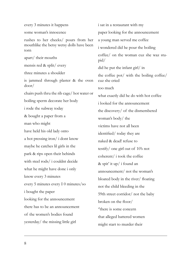every 3 minutes it happens some woman's innocence rushes to her cheeks/ pours from her mouthlike the betsy wetsy dolls have been torn apart/ their mouths mensis red & split/ every three minutes a shoulder is jammed through plaster & the oven door/ chairs push thru the rib cage/ hot water or boiling sperm decorate her body i rode the subway today & bought a paper from a man who might have held his old lady onto a hot pressing iron/ i dont know maybe he catches lil girls in the park & rips open their behinds with steel rods/ i couldnt decide what he might have done i only know every 3 minutes every 5 minutes every I 0 minutes/so i bought the paper looking for the announcement there has to be an announcement of the women's bodies found yesterday/ the missing little girl

i sat in a restaurant with my paper looking for the announcement a young man served me coffee i wondered did he pour the boiling coffee/ on the woman cuz she waz stupid/ did he put the infant girl/ in the coffee pot/ with the boiling coffee/ cuz she cried too much what exactly did he do with hot coffee i looked for the announcement the discovery/ of the dismembered woman's body/ the victims have not all been identified/ today they are naked & dead! refuse to testify/ one girl out of 10's not coherent/ i took the coffee & spit' it up/ i found an announcement/ not the woman's bloated body in the river/ floating not the child bleeding in the 59th street corridor/ not the baby broken on the floor/ ''there is some concern that alleged battered women might start to murder their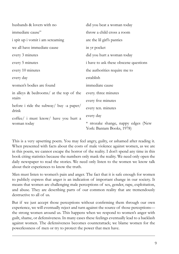| husbands & lovers with no                           | did you beat a woman today                                      |
|-----------------------------------------------------|-----------------------------------------------------------------|
| immediate cause"                                    | throw a child cross a room                                      |
| i spit up i vomit i am screaming                    | are the lil girl's panties                                      |
| we all have immediate cause                         | in yr pocket                                                    |
| every 3 minutes                                     | did you hurt a woman today                                      |
| every 5 minutes                                     | i have to ask these obscene questions                           |
| every 10 minutes                                    | the authorities require me to                                   |
| every day                                           | establish                                                       |
| women's bodies are found                            | immediate cause                                                 |
| in alleys & bedrooms/ at the top of the             | every. three minutes                                            |
| stairs                                              | every five minutes                                              |
| before i ride the subway/ buy -a paper/<br>drink    | every ten. minutes                                              |
| coffee/ i must know/ have you hurt a<br>woman today | every day                                                       |
|                                                     | * ntozake shange, nappy edges (New<br>York: Bantam Books, 1978) |

This is a very upsetting poem. You may feel angry, guilty, or ashamed after reading it. When presented with facts about the costs of male violence against women, as we are in this poem, we cannot escape the horror of the reality. I don't spend any time in this book citing statistics because the numbers only mask the reality. We need only open the daily newspaper to read the stories. We need only listen to the women we know talk about their experiences to know the truth.

Men must listen to women's pain and anger. The fact that it is safe enough for women to publicly express that anger is an indication of important change in our society. It means that women are challenging male perceptions of sex, gender, rape, exploitation, and abuse. They are describing parts of our common reality that are tremendously destructive to all of us.

But if we just accept those perceptions without confirming them through our own experience, we will eventually reject and turn against the source of those perceptions the strong women around us. This happens when we respond to women's anger with guilt, shame, or defensiveness. In many cases these feelings eventually lead to a backlash against women. The defensiveness becomes counterattack; we blame women for the powerlessness of men or try to protect the power that men have.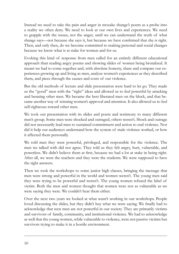Instead we need to take the pain and anger in ntozake shange's poem as a probe into a reality we often deny. We need to look at our own lives and experiences. We need to grapple with the issues, not the anger, until we can understand the truth of what shange says—not because she says it, but because we have confirmed that she is right. Then, and only then, do we become committed to making personal and social changes because we know what is at stake for women and for us.

Evoking this kind of response from men called for an entirely different educational approach than reading angry poems and showing slides of women being brutalized. It meant we had to come together and, with absolute honesty, share and compare our experiences growing up and living as men, analyze women's experiences as they described them, and piece through the causes and costs of our violence.

But the old methods of lecture and slide presentation were hard to let go. They made us the "good" men with the "right" ideas and allowed us to feel powerful by attacking and berating other men. We became the best liberated men on the block, and that became another way of winning women's approval and attention. It also allowed us to feel self-righteous toward other men.

We took our presentation with its slides and poem and testimony to many different men's group. Some men were shocked and outraged, others weren't. Shock and outrage did not necessarily lead men to sustained commitment and action to end violence. Nor did it help our audiences understand how the system of male violence worked, or how it affected them personally.

We told men they were powerful, privileged, and responsible for the violence. The men we talked with did not agree. They told us they felt angry, hurt, vulnerable, and powerless. We didn't believe them at first, because we had a lot at stake in being right. After all, we were the teachers and they were the students. We were supposed to have the right answers.

Then we took the workshops to some junior high classes, bringing the message that men were strong and powerful in the world and women weren't. The young men said they were trying to be powerful and weren't. The young women refused the label of victim. Both the men and women thought that women were not as vulnerable as we were saying they were. We couldn't hear them either.

Over the next two years we looked at what wasn't working in our workshops. People loved discussing the slides, but they didn't buy what we were saying. We finally had to acknowledge that teen men are not powerful in our society. They are primarily victims and survivors of family, community, and institutional violence. We had to acknowledge as well that the young women, while vulnerable to violence, were not passive victims but survivors trying to make it in a hostile environment.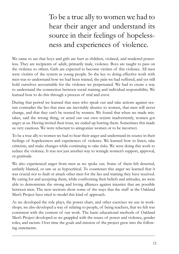To be a true ally to women we had to hear their anger and understand its source in their feelings of hopelessness and experiences of violence.

We came to see that boys and girls are hurt as children, violated, and rendered powerless. They are recipients of adult, primarily male, violence. Boys are taught to pass on the violence to others. Girls are expected to become victims of this violence. All men were victims of the system as young people. So the key to doing effective work with men was to understand how we had been trained, the pain we had suffered, and yet still hold ourselves accountable for the violence we perpetuated. We had to create a way to understand the connection between social training and individual responsibility. We learned how to do this through a process of trial and error.

During that period we learned that men who speak out and take actions against sexism contradict the lies that men are inevitably abusive to women, that men will never change, and that they can't be trusted by women. We found that when we made mistakes, said the wrong thing, or acted out our own sexism inadvertently, women got angry at us. Having invited their trust, we ended up hurting them. Sometimes this made us very cautious. We were reluctant to antagonize women or to be incorrect.

To be a true ally to women we had to hear their anger and understand its source in their feelings of hopelessness and experiences of violence. We learned how to listen, take criticism, and make changes while continuing to take risks. We were doing this work to reduce the violence. It was not just another way to wrangle women's support, approval, or gratitude.

We also experienced anger from men as we spoke out. Some of them felt deserted, unfairly blamed, or saw us as hypocritical. To counteract this anger we learned that it was crucial not to fault or attack other men for the lies and training they have received. By caring for and accepting them, while confronting their beliefs and attitudes, we were able to demonstrate the strong and loving alliances against injustice that are possible between men. The next sections show some of the ways that the staff at the Oakland Men's Project have tried to model this kind of approach.

As we developed the role plays, the power chart, and other exercises we use in workshops, we also developed a way of relating to people, of being teachers, that we felt was consistent with the content of our work. The basic educational methods of Oakland Men's Project developed as we grappled with the issues of power and violence, gender roles, and racism. Over time the goals and mission of the project grew into the following statements.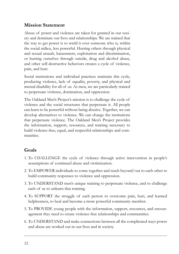# **Mission Statement**

Abuse of power and violence are taken for granted in our society and dominate our lives and relationships. We are trained that the way to get power is to wield it over someone who is, within the social milieu, less powerful. Hurting others through physical and sexual assault, harassment, exploitation and discrimination, or hurting ourselves through suicide, drug and alcohol abuse, and other self-destructive behaviors creates a cycle of violence, pain, and hurt.

Social institutions and individual practices maintain this cycle, producing violence, lack of equality, poverty, and physical and mental disability for all of us. As men, we are particularly trained to perpetuate violence, domination, and oppression.

The Oakland Men's Project's mission is to challenge the cycle of violence and the social structures that perpetuate it. All people can learn to be powerful without being abusive. Together, we can develop alternatives to violence. We can change the institutions that perpetuate violence. The Oakland Men's Project provides the information, support, resources, and training necessary to build violence-free, equal, and respectful relationships and communities.

# **Goals**

- 1. To CHALLENGE the cycle of violence through active intervention in people's assumptions of continued abuse and victimization.
- 2. To EMPOWER individuals to come together and reach beyond/out to each other to build community responses to violence and oppression.
- 3. To UNDERSTAND men's unique training to perpetuate violence, and to challenge each of us to unlearn that training.
- 4. To SUPPORT the struggle of each person to overcome pain, hurt, and learned helplessness, to heal and become a more powerful community member.
- 5. To PROVIDE young people with the information, support, resources, and encouragement they need to create violence-free relationships and communities.
- 6. To UNDERSTAND and make connections between all the complicated ways power and abuse are worked out in our lives and in society.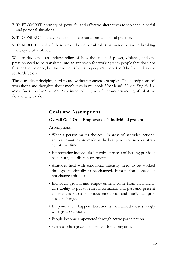- 7. To PROMOTE a variety of powerful and effective alternatives to violence in social and personal situations.
- 8. To CONFRONT the violence of local institutions and social practice.
- 9. To MODEL, in all of these areas, the powerful role that men can take in breaking the cycle of violence.

We also developed an understanding of how the issues of power, violence, and oppression need to be translated into an approach for working with people that does not further the violence, but instead contributes to people's liberation. The basic ideas are set forth below.

These are dry principles, hard to use without concrete examples. The descriptions of workshops and thoughts about men's lives in my book *Men's Work: How to Stop the Violence that Tears Our Lives Apart* are intended to give a fuller understanding of what we do and why we do it.

# **Goals and Assumptions**

## **Overall Goal One: Empower each individual present.**

Assumptions:

- When a person makes choices—in areas of attitudes, actions, and values—they are made as the best perceived survival strategy at that time.
- Empowering individuals is partly a process of healing previous pain, hurt, and disempowerment.
- Attitudes held with emotional intensity need to be worked through emotionally to be changed. Information alone does not change attitudes.
- Individual growth and empowerment come from an individual's ability to put together information and past and present experiences into a conscious, emotional, and intellectual process of change.
- Empowerment happens best and is maintained most strongly with group support.
- People become empowered through active participation.
- Seeds of change can lie dormant for a long time.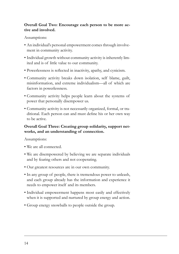## **Overall Goal Two: Encourage each person to be more active and involved.**

Assumptions:

- An individual's personal empowerment comes through involvement in community activity.
- Individual growth without community activity is inherently limited and is of little value to our community.
- Powerlessness is reflected in inactivity, apathy, and cynicism.
- Community activity breaks down isolation, self blame, guilt, misinformation, and extreme individualism—all of which are factors in powerlessness.
- Community activity helps people learn about the systems of power that personally disempower us.
- Community activity is not necessarily organized, formal, or traditional. Each person can and must define his or her own way to be active.

# **Overall Goal Three: Creating group solidarity, support networks, and an understanding of connection.**

Assumptions:

- We are all connected.
- We are disempowered by believing we are separate individuals and by fearing others and not cooperating.
- Our greatest resources are in our own community.
- In any group of people, there is tremendous power to unleash, and each group already has the information and experience it needs to empower itself and its members.
- Individual empowerment happens most easily and effectively when it is supported and nurtured by group energy and action.
- Group energy snowballs to people outside the group.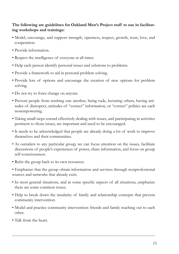# **The following are guidelines for Oakland Men's Project staff to use in facilitating workshops and trainings:**

- Model, encourage, and support strength, openness, respect, growth, trust, love, and cooperation.
- Provide information.
- Respect the intelligence of everyone at all times.
- Help each person identify personal issues and solutions to problems.
- Provide a framework to aid in personal problem solving.
- Provide lots of options and encourage the creation of new options for problem solving.
- Do not try to force change on anyone.
- Prevent people from trashing one another, being rude, lecturing others, having attitudes of disrespect, attitudes of "correct" information, or "correct" politics are each nonempowering.
- Taking small steps toward effectively dealing with issues, and participating in activities pertinent to those issues, are important and need to be encouraged.
- It needs to be acknowledged that people are already doing a lot of work to improve themselves and their communities.
- As outsiders to any particular group, we can focus attention on the issues, facilitate discussions of people's experiences of power, share information, and focus on group self-consciousness.
- Refer the group back to its own resources.
- Emphasize that the group obtain information and services through nonprofessional sources and networks that already exist.
- In most general situations, and in some specific aspects of all situations, emphasize there are some common issues.
- Help to break down the insularity of family and relationship concepts that prevent community intervention.
- Model and practice community intervention: friends and family reaching out to each other.
- Talk from the heart.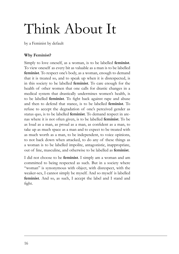# Think About It

by a Feminist by default

# **Why Feminist?**

Simply to love oneself, as a woman, is to be labelled **feminist**. To view oneself as every bit as valuable as a man is to be labelled **feminist**. To respect one's body, as a woman, enough to demand that it is treated so, and to speak up when it is disrespected, is in this society to be labelled **feminist**. To care enough for the health of other women that one calls for drastic changes in a medical system that drastically undermines women's health, is to be labelled **feminist**. To fight back against rape and abuse and then to defend that stance, is to be labelled **feminist**. To refuse to accept the degradation of one's perceived gender as status quo, is to be labelled **feminist**. To demand respect in arenas where it is not often given, is to be labelled **feminist**. To be as loud as a man, as proud as a man, as confident as a man, to take up as much space as a man and to expect to be treated with as much worth as a man, to be independent, to voice opinions, to not back down when attacked, to do any of these things as a woman is to be labelled impolite, antagonistic, inappropriate, out of line, masculine, and otherwise to be labelled as **feminist**.

I did not choose to be **feminist**. I simply am a woman and am committed to being respected as such. But in a society where "woman" is synonymous with object, with disrespect, with the weaker-sex, I cannot simply be myself. And so myself is labelled **feminist**. And so, as such, I accept the label and I stand and fight.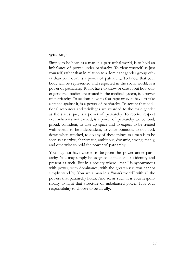#### **Why Ally?**

Simply to be born as a man in a patriarchal world, is to hold an imbalance of power under patriarchy. To view yourself as just yourself, rather than in relation to a dominant gender group other than your own, is a power of patriarchy. To know that your body will be represented and respected in the social world, is a power of patriarchy. To not have to know or care about how other gendered bodies are treated in the medical system, is a power of patriarchy. To seldom have to fear rape or even have to take a stance against it, is a power of patriarchy. To accept that additional resources and privileges are awarded to the male gender as the status quo, is a power of patriarchy. To receive respect even when it's not earned, is a power of patriarchy. To be loud, proud, confident, to take up space and to expect to be treated with worth, to be independent, to voice opinions, to not back down when attacked, to do any of these things as a man is to be seen as assertive, charismatic, ambitious, dynamic, strong, manly, and otherwise to hold the power of patriarchy.

You may not have chosen to be given this power under patriarchy. You may simply be assigned as male and so identify and present as such. But in a society where "man" is synonymous with power, with dominance, with the greater-sex, you cannot simply stand by. You are a man in a "man's world" with all the powers that patriarchy holds. And so, as such, it is your responsibility to fight that structure of unbalanced power. It is your responsibility to choose to be an **ally**.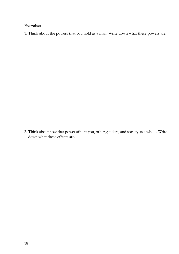# **Exercise:**

1. Think about the powers that you hold as a man. Write down what these powers are.

2. Think about how that power affects you, other genders, and society as a whole. Write down what these effects are.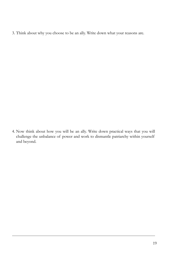3. Think about why you choose to be an ally. Write down what your reasons are.

4. Now think about how you will be an ally. Write down practical ways that you will challenge the unbalance of power and work to dismantle patriarchy within yourself and beyond.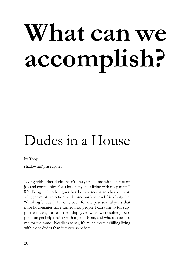# What can we **accomplish?**

# Dudes in a House

#### by Toby

shadowtail@riseup.net

Living with other dudes hasn't always filled me with a sense of joy and community. For a lot of my "not living with my parents" life, living with other guys has been a means to cheaper rent, a bigger music selection, and some surface level friendship (i.e. "drinking buddy"). It's only been for the past several years that male housemates have turned into people I can turn to for support and care, for real friendship (even when we're sober!), people I can get help dealing with my shit from, and who can turn to me for the same. Needless to say, it's much more fulfilling living with these dudes than it ever was before.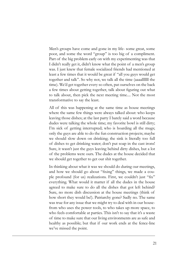Men's groups have come and gone in my life- some great, some poor, and some the word "group" is too big of a compliment. Part of the big problem early on with my experimenting was that I didn't really get it, didn't know what the point of a men's group was. I just knew that female socialized friends had mentioned at least a few times that it would be great if "all you guys would get together and talk". So why not, we talk all the time (aaaalllllll the time). We'd get together every so often, pat ourselves on the back a few times about getting together, talk about figuring out what to talk about, then pick the next meeting time.... Not the most transformative to say the least.

All of this was happening at the same time as house meetings where the same few things were always talked about: who keeps leaving those dishes; at the last party I barely said a word because dudes were talking the whole time; my favorite bowl is still dirty; I'm sick of getting interrupted; who is hoarding all the mugs; only the guys are able to do the fun construction projects; maybe we should slow down on drinking; the sink is literally too full of dishes to get drinking water; don't put soap in the cast irons! Sure, it wasn't just the guys leaving behind dirty dishes, but a lot of the problems were ours. The dudes at the house decided that we should get together to get our shit together.

In thinking about what it was we should do during our meetings, and how we should go about "fixing" things, we made a couple profound (for us) realizations. First, we couldn't just "fix" everything. What would it matter if all the dudes in the house agreed to make sure to do all the dishes that got left behind? Sure, no more dish discussion at the house meetings (think of how short they would be!). Patriarchy gone? Sadly no. The same was true for any issue that we might try to deal with in our housefrom who uses the power tools, to who takes up more space, to who feels comfortable at parties. This isn't to say that it's a waste of time to make sure that our living environments are as safe and healthy as possible; but that if our work ends at the fence-line we've missed the point.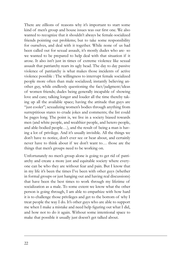There are zillions of reasons why it's important to start some kind of men's group and house issues was our first one. We also wanted to recognize that it shouldn't always be female-socialized friends pointing out problems; but to take some responsibility for ourselves, and deal with it together. While none of us had been called out for sexual assault, it's mostly dudes who are- so we wanted to be prepared to help deal with that situation if it arose. It also isn't just in times of extreme violence like sexual assault that patriarchy rears its ugly head. The day to day passive violence of patriarchy is what makes those incidents of active violence possible : The willingness to interrupt female socialized people more often than male socialized; instantly believing another guy, while endlessly questioning the fact/judgment/ideas of women friends; dudes being generally incapable of showing love and care; talking longer and louder all the time thereby taking up all the available space; having the attitude that guys are "just cooler"; sexualizing women's bodies through anything from surreptitious stares to crude jokes and comments; the list could be pages long. The point is, we live in a society biased towards men (and white people, and wealthier people, and hetero people, and able-bodied people…), and the result of being a man is having a lot of privilege. And it's usually invisible. All the things we don't have to notice, don't ever see or hear about, and certainly never have to think about if we don't want to… those are the things that men's groups need to be working on.

Unfortunately no men's group alone is going to get rid of patriarchy and create a more just and equitable society where everyone can be who they are without fear and pain. But I know that in my life it's been the times I've been with other guys (whether in formal groups or just hanging out and having real discussions) that have been the best times to work through my lifetime of socialization as a male. To some extent we know what the other person is going through, I am able to empathize with how hard it is to challenge those privileges and get to the bottom of why I treat people the way I do. It's other guys who are able to support me when I make a mistake and need help figuring out what I did, and how not to do it again. Without some intentional space to make that possible it usually just doesn't get talked about.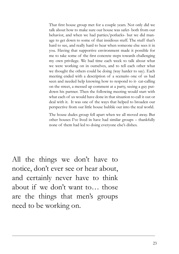That first house group met for a couple years. Not only did we talk about how to make sure our house was safer- both from our behavior, and when we had parties/potlucks- but we did manage to get down to some of that insidious stuff. The stuff that's hard to see, and really hard to hear when someone else sees it in you. Having that supportive environment made it possible for me to take some of the first concrete steps towards challenging my own privilege. We had time each week to talk about what we were working on in ourselves, and to tell each other what we thought the others could be doing (way harder to say). Each meeting ended with a description of a scenario one of us had seen and needed help knowing how to respond to it- cat-calling on the street, a messed up comment at a party, seeing a guy putdown his partner. Then the following meeting would start with what each of us would have done in that situation to call it out or deal with it. It was one of the ways that helped to broaden our perspective from our little house bubble out into the real world.

The house dudes group fell apart when we all moved away. But other houses I've lived in have had similar groups – thankfully none of them had led to doing everyone else's dishes.

All the things we don't have to notice, don't ever see or hear about, and certainly never have to think about if we don't want to… those are the things that men's groups need to be working on.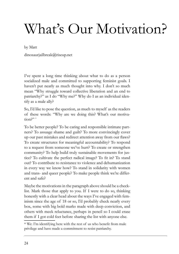# What's Our Motivation?

by Matt

dinosaurjailbreak@riseup.net

I've spent a long time thinking about what to do as a person socialized male and committed to supporting feminist goals. I haven't put nearly as much thought into why. I don't so much mean "Why struggle toward collective liberation and an end to patriarchy?" as I do "Why me?" Why do I as an individual identify as a male ally?

So, I'd like to pose the question, as much to myself as the readers of these words: "Why are we doing this? What's our motiva $tion$ <sup>?" \*</sup>

To be better people? To be caring and responsible intimate partners? To assuage shame and guilt? To more convincingly cover up our past mistakes and redirect attention away from our flaws? To create structures for meaningful accountability? To respond to a request from someone we've hurt? To create or strengthen community? To help build truly sustainable movements for justice? To cultivate the perfect radical image? To fit in? To stand out? To contribute to resistance to violence and dehumanization in every way we know how? To stand in solidarity with women and trans- and queer people? To make people think we're different and safe?

Maybe the motivations in the paragraph above should be a checklist. Mark those that apply to you. If I were to do so, thinking honestly with a clear head about the ways I've engaged with feminism since the age of 18 or so, I'd probably check nearly every box, some with big bold marks made with deep conviction, and others with meek reluctance, perhaps in pencil so I could erase them if I got cold feet before sharing the list with anyone else.

<sup>\*</sup> We: I'm identifying here with the rest of us who benefit from male privilege and have made a commitment to resist patriarchy.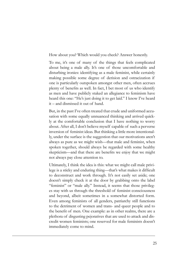How about you? Which would you check? Answer honestly.

To me, it's one of many of the things that feels complicated about being a male ally. It's one of those uncomfortable and disturbing ironies: identifying as a male feminist, while certainly making possible some degree of derision and ostracization if one is particularly outspoken amongst other men, often accrues plenty of benefits as well. In fact, I bet most of us who identify as men and have publicly staked an allegiance to feminism have heard this one: "He's just doing it to get laid." I know I've heard it – and dismissed it out of hand.

But, in the past I've often treated that crude and uniformed accusation with some equally unnuanced thinking and arrived quickly at the comfortable conclusion that I have nothing to worry about. After all, I don't believe myself capable of such a perverse inversion of feminist ideas. But thinking a little more intentionally, under the surface is the suggestion that our motivations aren't always as pure as we might wish—that male and feminist, when spoken together, should always be regarded with some healthy skepticism—and that there are benefits we enjoy that we might not always pay close attention to.

Ultimately, I think the idea is this: what we might call male privilege is a sticky and enduring thing—that's what makes it difficult to deconstruct and work through. It's not easily set aside; one doesn't simply check it at the door by grabbing onto the label "feminist" or "male ally." Instead, it seems that those privileges stay with us through the threshold of feminist consciousness and beyond, albeit sometimes in a somewhat distorted form. Even among feminists of all genders, patriarchy still functions to the detriment of women and trans- and queer people and to the benefit of men. One example: as in other realms, there are a plethora of disgusting pejoratives that are used to attack and discredit women feminists; one reserved for male feminists doesn't immediately come to mind.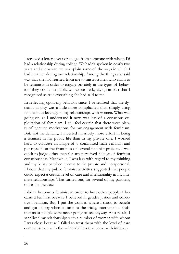I received a letter a year or so ago from someone with whom I'd had a relationship during college. We hadn't spoken in nearly two years and she wrote me to explain some of the ways in which I had hurt her during our relationship. Among the things she said was that she had learned from me to mistrust men who claim to be feminists in order to engage privately in the types of behaviors they condemn publicly. I wrote back, saying in part that I recognized as true everything she had said to me.

In reflecting upon my behavior since, I've realized that the dynamic at play was a little more complicated than simply using feminism as leverage in my relationships with women. What was going on, as I understand it now, was less of a conscious exploitation of feminism. I still feel certain that there were plenty of genuine motivations for my engagement with feminism. But, not incidentally, I invested massively more effort in being a feminist in my public life than in my private one. I worked hard to cultivate an image of a committed male feminist and put myself on the frontlines of several feminist projects. I was quick to judge other men for any perceived failings of feminist consciousness. Meanwhile, I was lazy with regard to my thinking and my behavior when it came to the private and interpersonal. I know that my public feminist activities suggested that people could expect a certain level of care and intentionality in my intimate relationships. That turned out, for several of my partners, not to be the case.

I didn't become a feminist in order to hurt other people; I became a feminist because I believed in gender justice and collective liberation. But, I put the work in where I stood to benefit and got sloppy when it came to the tricky, interpersonal stuff that most people were never going to see anyway. As a result, I sacrificed my relationships with a number of women with whom I was close because I failed to treat them with the level of care commensurate with the vulnerabilities that come with intimacy.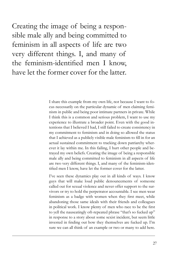Creating the image of being a responsible male ally and being committed to feminism in all aspects of life are two very different things. I, and many of the feminism-identified men I know, have let the former cover for the latter.

> I share this example from my own life, not because I want to focus necessarily on the particular dynamic of men claiming feminism in public and being poor intimate partners in private. While I think this is a common and serious problem, I want to use my experience to illustrate a broader point. Even with the good intentions that I believed I had, I still failed to create consistency in my commitment to feminism and in doing so allowed the status that I achieved as a publicly visible male feminism to fill in for an actual sustained commitment to tracking down patriarchy wherever it lay within me. In this failing, I hurt other people and betrayed my own beliefs. Creating the image of being a responsible male ally and being committed to feminism in all aspects of life are two very different things. I, and many of the feminism-identified men I know, have let the former cover for the latter.

> I've seen these dynamics play out in all kinds of ways. I know guys that will make loud public denouncements of someone called out for sexual violence and never offer support to the survivors or try to hold the perpetrator accountable. I see men wear feminism as a badge with women when they first meet, while abandoning those same ideals with their friends and colleagues in political work. I know plenty of men who race to be the first to yell the nauseatingly oft-repeated phrase "that's so fucked up" in response to a story about some sexist incident, but seem little invested in finding out how they themselves are fucked up. I'm sure we can all think of an example or two or many to add here.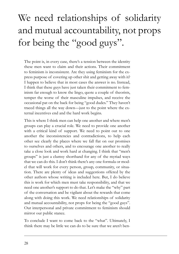# We need relationships of solidarity and mutual accountability, not props for being the "good guys".

The point is, in every case, there's a tension between the identity these men want to claim and their actions. Their commitment to feminism is inconsistent. Are they using feminism for the express purpose of covering up other shit and getting away with it? I happen to believe that in most cases the answer is no. Instead, I think that these guys have just taken their commitment to feminism far enough to know the lingo, quote a couple of theorists, temper the worse of their masculine impulses, and receive the occasional pat on the back for being "good dudes." They haven't traced things all the way down—just to the point where the external incentives end and the hard work begins.

This is where I think men can help one another and where men's groups can play a crucial role. We need to provide one another with a critical kind of support. We need to point out to one another the inconsistencies and contradictions, to help each other see clearly the places where we fall flat on our promises to ourselves and others, and to encourage one another to really take a close look and work hard at changing. I think that "men's groups" is just a clumsy shorthand for any of the myriad ways that we can do this. I don't think there's any one formula or model that will work for every person, group, community, or situation. There are plenty of ideas and suggestions offered by the other authors whose writing is included here. But, I do believe this is work for which men must take responsibility, and that we need one another's support to do that. Let's make the "why" part of the conversation and be vigilant about the rewards that come along with doing this work. We need relationships of solidarity and mutual accountability, not props for being the "good guys". Our interpersonal and private commitment to feminism should mirror our public stance.

To conclude I want to come back to the "what". Ultimately, I think there may be little we can do to be sure that we aren't ben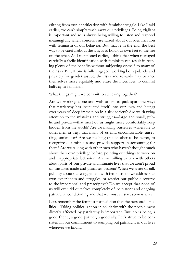efitting from our identification with feminist struggle. Like I said earlier, we can't simply wash away our privileges. Being vigilant is important and so is always being willing to listen and respond meaningfully when concerns are raised about our identification with feminism or our behavior. But, maybe in the end, the best way to be careful about the why is to hold our own feet to the fire on the what. As I mentioned earlier, I think that when managed carefully a facile identification with feminism can result in reaping plenty of the benefits without subjecting oneself to many of the risks. But, if one is fully engaged, working both publicly and privately for gender justice, the risks and rewards may balance themselves more equitably and erase the incentives to commit halfway to feminism.

### What things might we commit to achieving together?

Are we working alone and with others to pick apart the ways that patriarchy has insinuated itself into our lives and beings over years of deep immersion in a sick society? Are we drawing attention to the mistakes and struggles—large and small, public and private—that most of us might more comfortably keep hidden from the world? Are we making ourselves vulnerable to other men in ways that many of us find uncomfortable, unsettling, unfamiliar? Are we pushing one another to be better, to recognize our mistakes and provide support in accounting for them? Are we talking with other men who haven't thought much about their own privilege before, pointing out things to work on and inappropriate behavior? Are we willing to talk with others about parts of our private and intimate lives that we aren't proud of, mistakes made and promises broken? When we write or talk publicly about our engagement with feminism do we address our own experiences and struggles, or restrict our public discourse to the impersonal and prescriptive? Do we accept that none of us will ever rid ourselves completely of persistent and ongoing patriarchal conditioning and that we must all start somewhere?

Let's remember the feminist formulation that the personal is political. Taking political action in solidarity with the people most directly affected by patriarchy is important. But, so is being a good friend, a good partner, a good ally. Let's strive to be consistent in our commitment to stamping out patriarchy in our lives wherever we find it.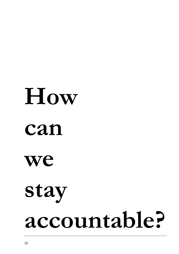# **we stay accountable?**

**How** 

**can**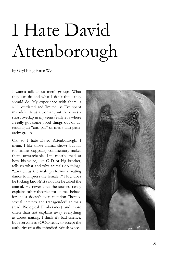# I Hate David Attenborough

by Geyl Fling Force Wynd

I wanna talk about men's groups. What they can do and what I don't think they should do. My experience with them is a lil' outdated and limited, as I've spent my adult life as a woman, but there was a short overlap in my teens/early 20s where I really got some good things out of attending an "anti-pat" or men's anti-patriarchy group.

Ok, so I hate David Attenborough. I mean, I like those animal shows but his (or similar copycats) commentary makes them unwatchable. I'm mostly mad at how his voice, like G-D or big brother, tells us what and why animals do things. "...watch as the male preforms a mating dance to impress the female..." How does he fucking know!? It's not like he asked the animal. He never cites the studies, rarely explains other theories for animal behavior, hella doesn't even mention "homosexual, intersex and transgender" animals (read Biological Exuberance) and more often than not explains away everything as about mating. I think it's bad science, but everyone is SOOO ready to accept the authority of a disembodied British voice.

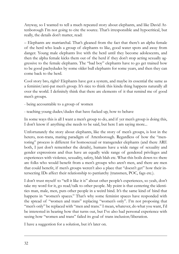Anyway, so I wanted to tell a much repeated story about elephants, and like David Attenborough I'm not going to cite the source. That's irresponsible and hypocritical, but really, the details don't matter, read:

– Elephants are matriarchal. That's gleaned from the fact that there's an alpha female of the herd who leads a group of elephants to like, good water spots and away from danger. Young male elephants live with the herd until they become adolescents, and then the alpha female kicks them out of the herd if they don't stop acting sexually aggressive to the female elephants. The "bad boy" elephants have to go get trained how to be good pachydudes by some older bull elephants for some years, and then they can come back to the herd.

Cool story bro, right? Elephants have got a system, and maybe its essential the same as a feminist/anti-pat men's group. It's nice to think this kinda thing happens naturally all over the world. I definitely think that there are elements of it that remind me of good men's groups.

- being accountable to a group of women
- teaching young dudes/dudes that have fucked up, how to behave

In some ways this is all I want a men's group to do, and if yer men's group is doing this, I don't know if anything else needs to be said, but here I am saying more...

Unfortunately the story about elephants, like the story of men's groups, is lost in the hetero, non-trans, mating paradigm of Attenborough. Regardless of how the "mentoring" process is different for homosexual or transgender elephants (and there ARE both, I just don't remember the details), humans have a wide range of sexuality and gender expressions and thus have an equally wide range of gendered privileges and experiences with violence, sexuality, safety, blah blah etc. What this boils down to: there are folks who would benefit from a men's groups who aren't men, and there are men that could benefit, if men's groups weren't also a place that "doesn't get" how their intersecting IDs affect their relationship to patriarchy (transmen, POC, fags etc.).

I don't trust myself to "tell it like it is" about other people's experiences, so yeah, don't take my word for it, go read/talk to other people. My point is that centering the identities man, male, men, puts other people in a weird bind. It's the same kind of bind that happens in "women's spaces." That's why some feminist spaces have responded with the spread of "women and trans" replacing "women's only". I'm not proposing that "men's only" be replaced with "men and trans." I mean, whatever, do what you want, I'd be interested in hearing how that turns out, but I've also had personal experience with seeing how "women and trans" failed its goal of trans inclusion/liberation.

I have a suggestion for a solution, but it's later on.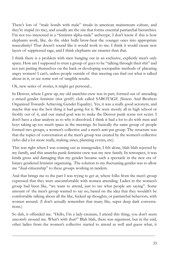There's lots of "male bonds with male" rituals in american mainstream culture, and they're stupid (to me), and usually are the site that forms essential patriarchal hierarchies. I'm not too interested in a "feminist alpha-male" archetype. I don't know if this is how elephants work, like, do the older bulls brow-beat the younger ones into appropriate masculinity? That doesn't sound like it would work to me. I think it would create new layers of suppressed rage, and I think elephants are smarter than that.

I think there is a problem with men hanging out in an exclusive, explicitly men's only space. How am I supposed to trust a group of guys to be "talking through their shit" and not just patting themselves on the back or developing sociopathic methods of placating angry women? I can't, unless people outside of that meeting can find out what is talked about in it, or see some sort of tangible results.

Ok, new series of stories, it might get personal...

In Denver, where I grew up, my old anarchist crew was in part, formed out of attending a mixed gender feminist (riot grrrl?) club called SABOTAGE (Sisters And Brothers Organized Towards Achieving Gender Equality). Yes, it was a really good acronym, and maybe that was the best thing it had going for it. We were mostly all in high school or freshly out of it, and our stated goal was to make the Denver punk scene not sexist. I don't have a clear analysis as to why it dissolved; I think it had a lot to do with men and boys taking up too much space in the meetings. So basically the same group of people formed two groups, a women's collective and a men's anti-pat group. The structure was that the topics of conversation at the men's group was created by the women's collective (who did a lot more really, making zines, planning events, etc).

This was right when I was coming out as transgender, I felt alone, blah blah rejected by my family, and this anarcha-punk-feminist crew was my new family. In retrospect, it was kinda gross and damaging that my gender became such a spectacle in the new era of binary gendered feminist organizing. The solution to my fluctuating gender was to allow me "dual-citizenship" to these groups working in tandem.

And that brings me to the part I was trying to get at, where folks from the men's group expressed that they were uncomfortable with women attending. Ladies in the women's group had been like, "we want to attend, just to see what people are saying". Some amount of the men's group wanted to say no, based on the idea that they wouldn't be comfortable talking about all the like, fucked up thoughts, or patriarchal behaviors, with women around. (I don't actually remember that many like, super deep dark conversations.)

So duh, it offended me. "Hello, I'm a lady-creature, I attend this thing, you don't seem uncomfy around me. What's with that?" Blah blah, there was argument, but in the end, other ladies from the women's collective started to attend as well and guess what, it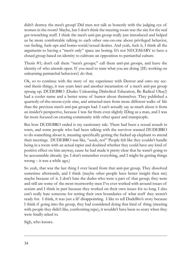didn't destroy the men's group! Did men not talk as honestly with the judging eye of women in the room? Maybe, but I don't think the meeting room was the site for the real gut-wrenching stuff. I think the men's anti-pat group really just introduced and helped us be more comfortable talking to each other one-on-one about privileged behavior, our feeling, fuck-ups and homo-social/sexual desires. And yeah, fuck it, I think all the arguments to having a "men's only" space are boring. It's not NECESSARY to have a closed group based on identity to cultivate an opposition to patriarchal culture.

Thesis #1; don't call them "men's groups;" call them anti-pat groups, and leave the identity of who attends open. If you need to state what you are doing {IE; working on unlearning patriarchal behaviors} do that.

Ok, so to continue with the story of my experience with Denver and onto my second thesis thingy, it was years later and another incarnation of a men's anti-pat group sprung up. DUDEBRO (Dudes Unlearning Diabolical Education, Be Radical Okay!) had a cooler name and a better sense of humor about themselves. They published a quarterly-of-the-moon-cycle zine, and attracted men from more different walks of life than the previous men's anti-pat groups had. I can't actually say as much about it from an insider's perspective, because I was far from even slightly IDing as a man, and I was far more focused on creating community with other queer and transpeople.

But how DUDEBRO ended is my cautionary tale. There had been a sexual assault in town, and some people who had been talking with the survivor wanted DUDEBRO to do something about it, meaning specifically getting the fucked up elephant to attend their meetings. DUDEBRO was like, "uuuh, no?" People felt like they couldn't handle being in a room with an actual rapist and doubted whether they could have any kind of positive effect on him anyway, cause he had made it pretty clear that he wasn't going to be accountable already. (ps. I don't remember everything, and I might be getting things wrong – it was a while ago.)

So yeah, that was the last thing I ever heard from that anti-pat group. They dissolved sometime afterwards, and I think (maybe other people have better insight then me) maybe because of it. I don't hate the dudes who were a part of that group; they were and still are some of the most trustworthy men I've ever worked with around issues of sexism and I think in part because they worked on their own issues for so long. I also can't really hate someone for setting their own boundaries of what stuff they weren't ready for. I think, it was just a lil' disappointing. I like to tell DudeBro's story because I think if going into the group, they had considered doing that kind of thing (meeting with people they didn't like, confronting rape), it wouldn't have been so scary when they were finally asked to.

Sigh, who knows.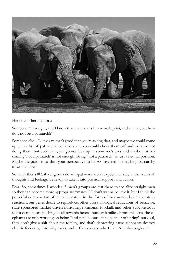

Here's another memory:

Someone: "I'm a guy, and I know that that means I have male privi, and all that, but how do I not be a patriarch!?"

Someone else: "Like okay, that's good that you're asking that, and maybe we could come up with a list of patriarchal behaviors and you could check them off and work on not doing them, but eventually, yer gonna fuck up in someone's eyes and maybe just becoming 'not a patriarch' is not enough. Being "not a patriarch" is just a neutral position. Maybe the point is to shift your perspective to be AS invested in smashing patriarchy as women are."

So that's thesis #2: if yer gonna do anti-pat work, don't expect it to stay in the realm of thoughts and feelings, be ready to take it into physical support and action.

Fear: So, sometimes I wonder if men's groups are just there to socialize straight men so they can become more appropriate "mates"? I don't wanna believe it, but I think the powerful combination of mutated nature in the form of hormones, brain chemistry reactions, our genes desire to reproduce, other gross biological reductions of behavior, state sponsored-market driven nurturing, romcoms, football, and other subconscious sexist demons are pushing us all towards hetero-nuclear families. From this lens, the elephants are only working on being "anti-pat" because it helps their offspring's survival, they don't give a shit about the totality, and that's depressing cause elephants destroy electric fences by throwing rocks, and... Can you see why I hate Attenborough yet?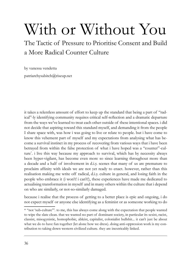# With or Without You

The Tactic of Pressure to Prioritise Consent and Build a More Radical Counter Culture

by vanessa vendetta

patriarchysabitch@riseup.net

it takes a relentless amount of effort to keep up the standard that being a part of "radical"-ly identifying community requires critical self-reflection and a dramatic departure from the ways we've learned to treat each other outside of these intentional spaces. i did not decide that aspiring toward this standard myself, and demanding it from the people I share space with, was how i was going to live or relate to people. but i have come to know this vehement part of myself and my expectations from analysing what has become a survival instinct in my process of recovering from various ways that i have been betrayed from within the false protection of what i have hoped was a "counter"-culture\* . i live this way because my approach to survival, which has by necessity always been hyper-vigilant, has become even more so since learning throughout more than a decade and a half of involvement in d.i.y. scenes that many of us are premature to proclaim affinity with ideals we are not yet ready to enact. however, rather than this realisation making me write off radical, d.i.y. culture in general, and losing faith in the people who embrace it (i won't! i can't!), these experiences have made me dedicated to actualising transformation in myself and in many others within the culture that i depend on who are similarly, or not-so-similarly damaged.

because i realise that the process of getting to a better place is epic and ongoing, i do not expect myself or anyone else identifying as a feminist or as someone working to do

<sup>\* &</sup>quot;not 'sub-culture'". to me, this has always come along with the expectation that people wanted to wipe the slate clean. that we wanted no part of dominant society, in particular its sexist, racist, classist, misogynistic, homophobic, ableist, capitalist, colonialist bullshit... it can't just be about what we do to have fun together (let alone how we dress). doing anti-oppression work is my contribution to taking down western civilized culture. they are inextricably linked.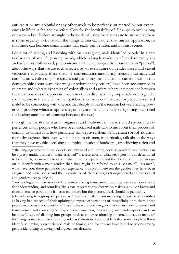anti-racist or anti-colonial or any other work to be perfectly un-marred by our experiences in life thus far, and therefore allow for the inevitability of fuck-ups to occur along our ways -- but i believe strongly in the tactic of using social pressure to stress that there is some urgency to transform the things within each other that mirror oppression, so that these can become communities that really can be safer. and not just scenes.

i do a lot of talking and listening with male-assigned, male-identified people† in a particular area of my life (among many), which is largely made up of predominantly anarcha-feminist influenced, predominantly white, queer-positive, transient-ish "punks"‡ , about the ways that we are each affected by, or even aware of, gender-based and sexual violence. i encourage these sorts of conversations among my friends informally and continuously. i also organise spaces and gatherings to facilitate discussions within this demographic about ways that we (as predominantly settlers) have been acculturated to re-create and tolerate dynamics of colonialism and racism, where intersections between these various axes of oppression are sometimes discussed in groups exclusive to gender socialisation. in these environments, it becomes more comfortable for people socialised male§ to be connecting with one another deeply about the tension between having power and privilege which is oppressing others, and simultaneously recognising their need for healing (and the relationship between the two).

through my involvement as an organiser and facilitator of these shared spaces and experiences, many people who have been socialised male talk to me about their process of coming to understand how patriarchy has deprived them of a certain sort of nourishment throughout their lives. when i listen to cis-men, in particular, talk about the ways that they have trouble accessing a complex emotional landscape, or achieving a rich and

† the language around these ideas is still awkward and untidy, because gender classification can be a pretty untidy business. "male-assigned" is a reference to what sex a person was determined to be at birth, presumably based on what their body parts remind the doctor of. if they later go on to identify with a male gender, then they might be referred to as a "cis-male", "cis-man", what have you. these people do not experience a disparity between the gender they have been assigned and socialised as and their experience of themselves, as transgendered and transsexual and genderqueer people do.

‡ my apologies -- there is a fine line between being transparent about the source of one's basis for understanding, and sounding like a totally pretentious idiot who's making a million boxes and checkin 'em, so pardon me if i crossed it there but the picture, i feel, should be painted…

§ by referring to a group of people as "socialised male", i am including anyone who identifies as having had aspects of their upbringing impose expectations of masculinity onto them. these people may or may not identify as "male". this is a broad category that can include trans-men and trans-women and cis-men (and maybe even cis-women, depending!) and gender-queers, and can be a useful way of dividing into groups to discuss our relationship to certain ideas, as many of their origins may date back to our gender socialisation. also notable is that some people will not identify as having been socialised male or female, and for this we have had discussions among people identifying as having had a queer socialisation.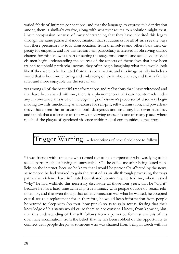varied fabric of intimate connections, and that the language to express this deprivation among them is similarly evasive, along with whatever routes to a solution might exist, i have compassion because of my understanding that they have inherited this legacy through the same patriarchal indoctrination that suuuuuucks for all of us. i see the ways that these precursors to total disassociation from themselves and others bars their capacity for empathy, and for this reason i am particularly interested in observing drastic change, for this i know is a part of setting the stage for domestic and sexual violence. as cis-men begin understanding the sources of the aspects of themselves that have been trained to uphold patriarchal norms, they often begin imagining what they would look like if they were to be liberated from this socialisation, and this image usually includes a world that is both more loving and embracing of their whole selves, and that is far, far safer and more enjoyable for the rest of us.

yet among all of the beautiful transformations and realisations that i have witnessed and that have been shared with me, there is a phenomenon that i can not stomach under any circumstance. this is when the beginnings of cis-men's processes of discovery begin moving towards functioning as an excuse for self-pity, self-victimisation, and powerlessness. i have seen this in situations both dangerous and insulting, but never harmless. and i think that a tolerance of this way of viewing oneself is one of many places where much of the plague of gendered violence within radical communities comes from.

# Trigger Warning! – descriptions of sexual violence to follow

\* i was friends with someone who turned out to be a perpetrator who was lying to his sexual partners about having an untreatable STI. he called me after being outed publicly, on the internet, because he knew that i would be personally affected by the news, as someone he had worked to gain the trust of as an ally through processing the ways patriarchal violence have infiltrated our shared community. he told me, when i asked "why" he had withheld this necessary disclosure all those four years, that he "did it" because he has a hard time achieving true intimacy with people outside of sexual relationships, and that even though that other connection was what he wanted, he accepted casual sex as a replacement for it. therefore, he would keep information from people he wanted to sleep with (on tour. how punk.) so as to gain access, fearing that their knowledge of his status would cause them to not consent. i know, from knowing him, that this understanding of himself follows from a perverted feminist analysis of his own male socialisation. from the belief that he has been robbed of the opportunity to connect with people deeply as someone who was shamed from being in touch with his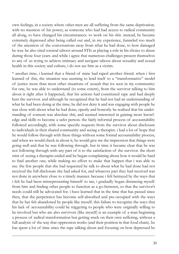own feelings, in a society where other men are all suffering from the same deprivation. with no mention of his power, as someone who had had access to radical community all along, to have changed his circumstances. to work on his shit. instead, he became extremely depressed after being called out and, in my experience, funneled too much of the attention of the conversations away from what he had done, to how damaged he was. he also cited societal taboos around STIs as playing a role in his choice to abuse during those four years. and while i agree that numerous challenges present themselves to any of us trying to achieve intimacy and navigate taboos about sexuality and sexual health in this society and culture, i do not see him as a victim.

\* another time, i learned that a friend of mine had raped another friend. when i first learned of this, the situation was seeming to lend itself to a "transformative" model of justice more than most other situations of assault that ive seen in my community: for one, he was able to understand (to some extent), from the survivor talking to him about it right after it happened, that his actions had constituted rape and had deeply hurt the survivor. and although he recognised that he had not had an understanding of what he had been doing at the time, he did not deny it and was engaging with people he was close with about what he had done, openly and honestly. he realised that his understanding of consent was absolute shit, and seemed interested in gaining more knowledge and skills to become a safer person. the fairly informal process of accountability followed accordingly, with some specific requests from the survivor about disclosure to individuals in their shared community and seeing a therapist. i had a lot of hope that he would follow through with these things without some formal accountability process, and when we would check in about it, he would give me the impression that things were going well and that he was following through. but in time it became clear that he was not following through with any part of it to the satisfaction of the survivor. the short stint of seeing a therapist ended and he began complaining about how it would be hard to find another one, while making no effort to make that happen that i was able to see. the few people that she had requested he talk to about what he had done had not received the full disclosure she had asked for, and whatever part they had received was not done in anywhere close to a timely manner. because i felt betrayed by the ways that i felt he had been misrepresenting himself to me, i gradually began distancing myself from him and finding other people to function as a go-between, so that the survivor's needs could still be advocated for. i have learned that in the time that has passed since then, that the perpetrator has become self-absorbed and pre-occupied with the ways that he has felt abandoned by people like myself. this failure to recognise the ways that his lack of accountability could be triggering to people who were originally willing to be involved but who are also survivors (like myself) is an example of a man beginning a process of radical transformation but getting stuck on their own suffering, without a full analysis of the way that oppression works (and their position in that food chain). he has spent a lot of time since the rape talking about and focusing on how depressed he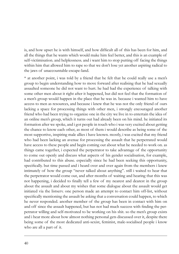is, and how upset he is with himself, and how difficult all of this has been for him, and all the things that he wants which would make him feel better, and this is an example of self-victimisation. and helplessness. and i want him to stop putting off facing the things within him that allowed him to rape so that we don't lose yet another aspiring radical to the jaws of unaccountable-escape-land.

\* at another point, i was told by a friend that he felt that he could really use a men's group to begin understanding how to move forward after realising that he had sexually assaulted someone he did not want to hurt. he had had the experience of talking with some other men about it right after it happened, but did not feel that the formation of a men's group would happen in the place that he was in. because i wanted him to have access to men as resources, and because i knew that he was not the only friend of ours lacking a space for processing things with other men, i strongly encouraged another friend who had been trying to organize one in the city we live in to entertain the idea of an online men's group, which it turns out had already been on his mind. he initiated its formation after we spoke, and i got people in touch who i was very excited about getting the chance to know each other, as most of them i would describe as being some of the most supportive, inspiring male allies i have known. mostly, i was excited that my friend who had been lacking an avenue for processing the assault that he perpetrated would have access to these people and begin coming out about what he needed to work on. as things came together, i expected the perpetrator to take advantage of the opportunity to come out openly and discuss what aspects of his gender socialisation, for example, had contributed to this abuse. especially since he had been seeking this opportunity, specifically. but time passed and i heard over and over again from the members i knew intimately of how the group "never talked about anything". still i waited to hear that the perpetrator would come out, and after months of waiting and hearing that this was not happening, i decided to finally tell a few of my nearest and dearest in the group about the assault and about my wishes that some dialogue about the assault would get initiated via the listserv. one person made an attempt to contact him off-list, without specifically mentioning the assault be asking that a conversation could happen, to which he never responded. another member of the group has been in contact with him on and off since the assault happened, but has not had much success with finding the perpetrator willing and self-motivated to be working on his shit. so the men's group exists and i hear more about how almost nothing personal gets discussed over it, despite there being some of the most dedicated anti-sexist, feminist, male-socialised people i know who are all a part of it.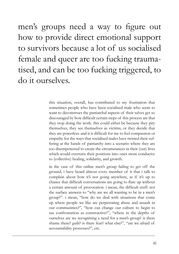men's groups need a way to figure out how to provide direct emotional support to survivors because a lot of us socialised female and queer are too fucking traumatised, and can be too fucking triggered, to do it ourselves.

> this situation, overall, has contributed to my frustration that sometimes people who have been socialised male who seem to want to deconstruct the patriarchal aspects of their selves get so discouraged by how difficult certain steps of this process are that they stop doing the work. this could either be because they pity themselves, they see themselves as victims, or they decide that they are powerless. and it is difficult for me to feel compassion or empathy for the ways that socialised males have twisted their suffering at the hands of patriarchy into a scenario where they are too disempowered to create the circumstances in their (our) lives which would overturn their positions into ones more conducive to (collective) healing, solidarity, and growth.

> in the case of this online men's group failing to get off the ground, i have heard almost every member of it that i talk to complain about how it's not going anywhere, as if it's up to chance that difficult conversations are going to flare up without a certain amount of provocation. i mean, the difficult stuff. not the surface answers to "why are we all wanting to be in a men's group?". i mean, "how do we deal with situations that come up where people we like are perpetrating abuse and assault in our communities?", "how can change our culture to begin to see confrontation as constructive?", "where in the depths of ourselves are we recognising a need for a men's group? is there shame there? guilt? is there fear? what else?", "are we afraid of accountability processes?", etc.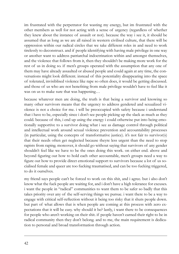im frustrated with the perpetrator for wasting my energy, but im frustrated with the other members as well for not acting with a sense of urgency (regardless of whether they knew about the instance of assault or not). because the way i see it, it should be assumed that as long as we are all raised in western civilised culture, that there will be oppression within our radical circles that we take different roles in and need to work tirelessly to deconstruct. and if people identifying with having male privilege in one way or another want to address patriarchal indoctrination within and amongst themselves, and the violence that follows from it, then they shouldn't be making more work for the rest of us in doing so. if men's groups operated with the assumption that any one of them may have already assaulted or abused people and could again at any time, the conversations might look different. instead of this potentiality disappearing into the space of tolerated, invisiblised violence like rape so often does, it would be getting discussed. and those of us who are not benefiting from male privilege wouldn't have to feel like it was on us to make sure that was happening...

because whatever men are doing, the truth is that being a survivor and knowing so many other survivors means that the urgency to address gendered and sexualized violence is not a choice for me. i will be preoccupied with safety because i understand that i have to be, especially since i don't see people picking up the slack as much as they could. because of this, i end up using the energy i could otherwise put into being emotionally supportive to a survivor doing what i see as damage control through political and intellectual work around sexual violence prevention and accountability processes (in particular, using the concepts of transformative justice). it's not fair to survivor(s) that their needs often get neglected because theyre less urgent than the need to stop rapists from raping. moreover, it should go without saying that survivors of any gender shouldn't feel like we have to be the ones doing this work. on either end. above and beyond figuring out how to hold each other accountable, men's groups need a way to figure out how to provide direct emotional support to survivors because a lot of us socialised female and queer are too fucking traumatised, and can be too fucking triggered, to do it ourselves.

my friend says people can't be forced to work on this shit, and i agree. but i also don't know what the fuck people are waiting for, and i don't have a high tolerance for excuses. i want the people in "radical" communities to want them to be safer so badly that this takes priority over any of the self-serving things we pursue. i want there to be a way to engage with critical self-reflection without it being too risky that it shuts people down. but part of what allows that is when people are coming at this process with zero expectations that it will be easy. why should it be? lastly, i want there to be consequences for people who aren't working on their shit. if people haven't earned their right to be in radical community then they don't belong. and to me, the main requirement is dedication to personal and broad transformation through action.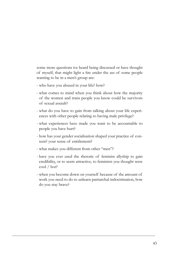some more questions ive heard being discussed or have thought of myself, that might light a fire under the ass of some people wanting to be in a men's group are:

- who have you abused in your life? how?
- what comes to mind when you think about how the majority of the women and trans people you know could be survivors of sexual assault?
- what do you have to gain from talking about your life experiences with other people relating to having male privilege?
- what experiences have made you want to be accountable to people you have hurt?
- how has your gender socialisation shaped your practice of consent? your sense of entitlement?
- what makes you different from other "men"?
- have you ever used the rhetoric of feminist allyship to gain credibility, or to seem attractive, to feminists you thought were cool / hot?
- when you become down on yourself because of the amount of work you need to do to unlearn patriarchal indoctrination, how do you stay brave?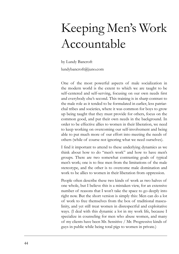# Keeping Men's Work Accountable

by Lundy Bancroft lundybancroft@juno.com

One of the most powerful aspects of male socialization in the modern world is the extent to which we are taught to be self-centered and self-serving, focusing on our own needs first and everybody else's second. This training is in sharp contrast to the male role as it tended to be formulated in earlier, less patriarchal tribes and societies, where it was common for boys to grow up being taught that they must provide for others, focus on the common good, and put their own needs in the background. In order to be effective allies to women in their liberation, we need to keep working on overcoming our self-involvement and being able to put much more of our effort into meeting the needs of others (while of course not ignoring what we need ourselves).

I find it important to attend to these underlying dynamics as we think about how to do "men's work" and how to have men's groups. There are two somewhat contrasting goals of typical men's work; one is to free men from the limitations of the male stereotype, and the other is to overcome male domination and work to be allies to women in their liberation from oppression.

People often describe these two kinds of work as two halves of one whole, but I believe this is a mistaken view, for an extensive number of reasons that I won't take the space to go deeply into right now. But the short version is simply this: Men can do a lot of work to free themselves from the box of traditional masculinity, and yet still treat women in disrespectful and exploitative ways. (I deal with this dynamic a lot in my work life, because I specialize in counseling for men who abuse women, and many of my clients have been Mr. Sensitive / Mr. Progressive kinds of guys in public while being total pigs to women in private.)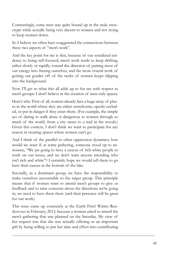Contrastingly, some men stay quite bound up in the male stereotype while actually being very decent to women and not trying to keep women down.

So I believe we often have exaggerated the connections between these two aspects of "men's work".

And the key point for me is that, because of our socialized tendency to being self-focused, men's work tends to keep drifting, either slowly or rapidly, toward the direction of putting most of our energy into freeing ourselves, and the more crucial work of getting our gender off of the necks of women keeps slipping into the background.

Now I'll get to what this all adds up to for me with respect to men's groups: I don't believe in the creation of men-only spaces.

Here's why: First of all, women already face a huge array of places in the world where they are either unwelcome, openly excluded, or put in danger if they enter them. (For example, the simple act of daring to walk alone is dangerous to women through so much of the world, from a city street to a trail in the woods.) Given this context, I don't think we want to participate for any reason in creating spaces where women can't go.

And I think of the parallel to other oppression dynamics; how would we react if, at some gathering, someone stood up to announce, "We are going to have a caucus of rich white people to work on our issues, and we don't want anyone attending who isn't rich and white"? I certainly hope we would tell them to go have their caucus at the bottom of the lake.

Secondly, as a dominant group, we have the responsibility to make ourselves accountable to the target group. This principle means that if women want to attend men's groups to give us feedback and to raise concerns about the directions we're going in, we need to have them there (and their presence will be great for our work).

This issue came up concretely at the Earth First! Winter Rendezvous in February, 2013, because a woman asked to attend the men's gathering that was planned on the Saturday. My view of her request was that she was actually offering us an important gift by being willing to put her time and effort into contributing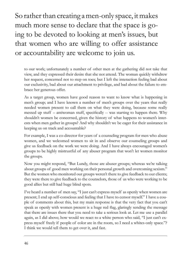So rather than creating a men-only space, it makes much more sense to declare that the space is going to be devoted to looking at men's issues, but that women who are willing to offer assistance or accountability are welcome to join us.

to our work; unfortunately a number of other men at the gathering did not take that view, and they expressed their desire that she not attend. The woman quickly withdrew her request, concerned not to step on toes; but I left the interaction feeling bad about our exclusivity, bad about our attachment to privilege, and bad about the failure to embrace her generous offer.

As a target group, women have good reason to want to know what is happening in men's group; and I have known a number of men's groups over the years that really needed women present to call them on what they were doing, because some really messed up stuff – antiwoman stuff, specifically -- was starting to happen there. Why shouldn't women be concerned, given the history of what happens to women's interests when men gather in groups? And why shouldn't we be eager for their assistance in keeping us on track and accountable?

For example, I was a co-director for years of a counseling program for men who abuse women, and we welcomed women to sit in and observe our counseling groups and give us feedback on the work we were doing. And I have always encouraged women's groups to be highly mistrustful of any abuser program that won't let women monitor the groups.

Now you might respond, "But Lundy, those are abuser groups; whereas we're talking about groups of good men working on their personal growth and overcoming sexism." But the women who monitored our groups weren't there to give feedback to our clients; they were there to give feedback to the counselors, those of us who were working to be good allies but still had huge blind spots.

I've heard a number of men say, "I just can't express myself as openly when women are present; I end up self-conscious and feeling that I have to censor myself." I have a couple of comments about this, but my main response is that the very fact that you can't speak as openly with women present is a huge red flag, glaringly sending the message that there are issues there that you need to take a serious look at. Let me use a parallel again, as I did above; how would we react to a white person who said, "I just can't express myself freely if people of color are in the room, so I need a whites-only space."? I think we would tell them to get over it, and fast.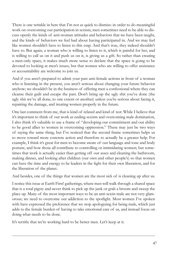There is one wrinkle in here that I'm not as quick to dismiss: in order to do meaningful work on overcoming our participation in sexism, men sometimes need to be able to discuss openly the kinds of anti-woman attitudes and behaviors that we have been taught, and the kinds of behaviors we feel bad about having participated in. And we may feel like women shouldn't have to listen to this crap. And that's true, they indeed shouldn't have to. But again, a woman who is willing to listen to it, which is painful for her, and is willing to call us on it and push us on it, is giving us a gift. So rather than creating a men-only space, it makes much more sense to declare that the space is going to be devoted to looking at men's issues, but that women who are willing to offer assistance or accountability are welcome to join us.

And if you aren't prepared to admit your past anti-female actions in front of a woman who is listening in the present, you aren't serious about changing your future behavior anyhow; we shouldn't be in the business of offering men a confessional where they can cleanse their guilt and escape the past. Don't bring up the ugly shit you've done (the ugly shit we've all done, to one extent or another) unless you're serious about facing it, repairing the damage, and treating women properly in the future.

One last comment from me, that is kind of related and kind of not: While I believe that it's important to think of our work as ending sexism and overcoming male domination, I also think it's valuable to use a frame of "developing our commitment and our ability to be good allies to women in overcoming oppression." These may just be two ways of saying the same thing, but I've noticed that the second frame sometimes helps us to move toward more concrete action and therefore to actually be a greater help. For example, I think it's great for men to become aware of our language and tone and body posture, and how those all contribute to controlling or intimidating women; but sometimes that work is actually easier than getting off our asses and cleaning the bathroom, making dinner, and looking after children (our own and other people's) so that women can have the time and energy to be leaders in the fight for their own liberation, and for the liberation of the planet.

And besides, one of the things that women are the most sick of is cleaning up after us.

I notice this issue at Earth First! gatherings, where men will walk through a shared space that is a total pigsty and never think to pick up the junk or grab a broom and sweep the place up. Many of the most important ways to be an anti-sexist male are not very glamorous; we need to overcome our addiction to the spotlight. Most women I've spoken with have expressed the preference that we stop apologizing for being male, which just adds to the female burden of having to take emotional care of us, and instead focus on doing what needs to be done.

It's terrific that we're working hard to be better men. Let's keep at it.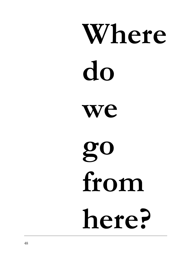# **Where do we go from here?**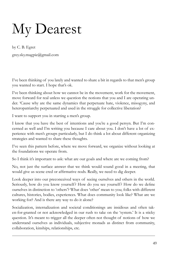# My Dearest

by C. B. Egret grey.sky.magpie@gmail.com

I've been thinking of you lately and wanted to share a bit in regards to that men's group you wanted to start. I hope that's ok.

I've been thinking about how we cannot be in the movement, work for the movement, move forward for real unless we question the notions that you and I are operating under. 'Cause why are the same dynamics that perpetuate hate, violence, misogyny, and heteropatriarchy perpetuated and used in the struggle for collective liberation?

I want to support you in starting a men's group.

I know that you have the best of intentions and you're a good persyn. But I'm concerned as well and I'm writing you because I care about you. I don't have a lot of experience with men's groups particularly, but I do think a lot about different organizing strategies and wanted to share these thoughts.

I've seen this pattern before, where we move forward, we organize without looking at the foundations we operate from.

So I think it's important to ask: what are our goals and where are we coming from?

No, not just the surface answer that we think would sound good in a meeting, that would give us scene cred or affirmative nods. Really, we need to dig deeper.

Look deeper into our preconceived ways of seeing ourselves and others in the world. Seriously, how do you know yourself? How do you see yourself? How do we define ourselves in distinction to 'others'? What does 'other' mean to you; folks with different cultures, histories, bodies, experiences. What does community look like? What are we working for? And is there any way to do it alone?

Socialization, internalization and societal conditionings are insidious and often taken-for-granted or not acknowledged in our rush to take on the 'system.' It is a sticky question. It's meant to trigger all the deeper often not thought of notions of how we understand ourselves as individuals, subjective monads as distinct from community, collaboration, kinships, relationships, etc.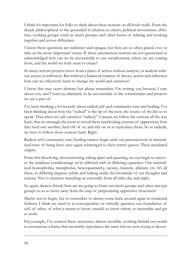I think it's important for folks to think about these notions on all levels really. From the deeply philosophical to the grounded in relation to others, political movements, affinities, working groups (such as men's groups) and other forms of relating and working together and across difference.

I know these questions are indistinct and opaque, but they are so often glazed over to take on the more 'important' issues. If these unconscious notions are not questioned or acknowledged how can we be accountable to our socializations, where we are coming from, and the world we truly want to create?

So many activist projects move from a place of action without analysis, or analysis without action or reflection. But without a balanced rotation of theory, action and reflection how can we effectively learn to change the world and ourselves?

I know this may seem abstract but please remember, I'm writing you because I care about you, and I want us ultimately to be accountable to the communities and projects we are a part of.

I've been thinking a lot recently about radical self-and community-care and healing. I've been thinking about how the "radical" is the tip of the root, the source of the life so to speak. That when we call ourselves "radical," it means we follow the notions all the way back, that we untangle the roots to reveal these interlocking systems of oppression, how they feed one another, feed off of us, and rely on us to reproduce them. So as radicals, we have to follow those notions back. Right.

Radical self/community-care/healing cannot begin until our preconceived or internalized ways of being have once again submerged to their watery graves. Their inundated origins.

From this dissolving, deconstructing, taking apart and queering, we can begin to uncover the insidious conditionings we're afflicted with in differing capacities. Our internalized homophobia, transphobia, heteropatriarchy, racism, classism, ableism, etc. It's all there, to differing degrees, subtle and lurking under the broadside of our thoughts and actions. Not to mention assaulting us externally from all sides day and night.

So again, dearest friend, how are we going to form our men's groups and other anti-pat groups so as to move away from the trap of perpetuating oppressive structures?

Maybe not to begin, but to remember to always come back around again in rotational fashion; I think we need to re-conceptualize or critically question our foundation of self, of other, of what it means to know oneself, to know others, to interrelate and get to work.

For example, I've noticed these structures, almost invisible, working behind our words to reconstruct a frame that inevitably reproduces the same shit we were trying to decon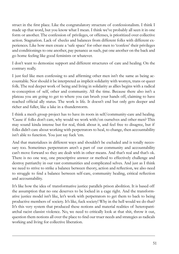struct in the first place. Like the congratulatory structure of confessionalism. I think I made up that word, but you know what I mean. I think we've probably all seen it in one form or another. The confession of privileges, or offenses, is prioritized over collective action. Stagnation. Lack of checks and balances from different folks with different experiences. Like how men create a 'safe space' for other men to 'confess' their privileges and conditionings to one another, pay penance as such, pat one another on the back and go home feeling like good feminists or whatever.

I don't want to demonize support and different structures of care and healing. On the contrary really.

I just feel like men confessing to and affirming other men isn't the same as being accountable. Nor should it be interpreted as implicit solidarity with womyn, trans or queer folk. The real deeper work of being and living in solidarity as allies begins with a radical re-conception of self, other and community. All the time. Because there also isn't a plateau you are going to get to where you can brush your hands off, claiming to have reached official ally status. The work is life. It doesn't end but only gets deeper and richer and fuller, like a lake in a thunderstorm.

I think a men's group project has to have its roots in self/community-care and healing. 'Cause if folks don't care, why would we work with/on ourselves and other men? This may sound kinda intense but for real, think about it, and feel free to disagree, but if folks didn't care about working with perpetrators to heal, to change, then accountability isn't able to function. You just say fuck 'em.

And that materializes in different ways and shouldn't be excluded and is totally necessary too. Sometimes perpetrators aren't a part of our community and accountability can't move forward so they are dealt with in other means. And that's real and that's ok. There is no one way, one prescriptive answer or method to effectively challenge and destroy patriarchy in our vast communities and complicated selves. And just as I think we need to strive to strike a balance between theory, action and reflection, we also need to struggle to find a balance between self-care, community healing, critical reflection and accountability.

It's like how the idea of transformative justice parallels prison abolition. It is based off the assumption that no one deserves to be locked in a cage right. And the transformative justice model isn't like, let's work with perpetrators to get them to back to being productive members of society. It's like, fuck society! Why in the hell would we do that? It's this very system that produced these notions and material realities of heteropatriarchal racist classist violence. No, we need to critically look at that shit, throw it out, question them notions all over the place to find our truer needs and strategies as radicals working and living for collective liberation.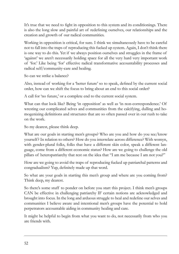It's true that we need to fight in opposition to this system and its conditionings. There is also the long slow and painful art of redefining ourselves, our relationships and the creation and growth of our radical communities.

Working in opposition is critical, for sure. I think we simultaneously have to be careful not to fall into the traps of reproducing this fucked up system. Again, I don't think there is one way to do this. Yet if we always position ourselves and struggles in the frame of 'against' we aren't necessarily holding space for all the very hard very important work of 'for.' Like being 'for' effective radical transformative accountability processes and radical self/community-care and healing.

So can we strike a balance?

Also, instead of working for a 'better future' so to speak, defined by the current social order, how can we shift the focus to bring about an end to this social order?

A call for 'no future,' or a complete end to the current social system.

What can that look like? Being 'in opposition' as well as 'in non-correspondence.' Of wresting our complicated selves and communities from the calcifying, dulling and homogenizing definitions and structures that are so often passed over in our rush to take on the work.

So my dearest, please think deep.

What are our goals in starting men's groups? Who are you and how do you see/know yourself? In relation to others? How do you interrelate across difference? With womyn, with gender-plural folks, folks that have a different skin color, speak a different language, come from a different economic status? How are we going to challenge the old pillars of heteropatriarchy that rest on the idea that "I am me because I am not you?"

How are we going to avoid the traps of reproducing fucked up patriarchal patterns and congradualism? Yup, definitely made up that word.

So what are your goals in starting this men's group and where are you coming from? Think deep, my dearest.

So there's some stuff to ponder on before you start this project. I think men's groups CAN be effective in challenging patriarchy IF certain notions are acknowledged and brought into focus. In the long and arduous struggle to heal and redefine our selves and communities I believe aware and intentional men's groups have the potential to hold perpetrators accountable aiding in community healing and care.

It might be helpful to begin from what you want to do, not necessarily from who you are friends with.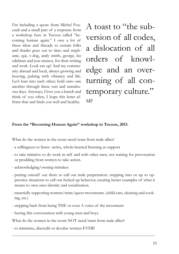I'm including a quote from Michel Foucault and a small part of a response from a workshop here in Tucson called "becoming human again." I owe a lot of these ideas and threads to certain folks and thanks goes out to timo and stephanie, qui, v-dog, andy smith, george, lee edelman and jose munoz, for their writing and work. Look em up! And my community abroad and local, always growing and heaving, pulsing with vibrancy and life. Let's lean into each other; hold onto one another through these vast and tumultuous days. Anyways, I love you a bunch and think of you often, I hope this letter affirms that and finds you well and healthy.

A toast to "the subversion of all codes, a dislocation of all orders of knowledge and an overturning of all contemporary culture." **MF** 

#### **From the "Becoming Human Again" workshop in Tucson, 2013.**

What do the womyn in the room need/want from male allies?

- a willingness to listen- active, whole-hearted listening as support
- to take initiative to do work in self and with other men, not waiting for provocation or prodding from womyn to take action.
- acknowledging/owning mistakes
- putting oneself out there to call out male perpetrators. stepping into or up to oppressive situations to call out fucked up behavior; creating better examples of what it means to own ones identity and socialization.
- materially supporting women/trans/queer movements. (child care, cleaning and cooking, etc.)
- stepping back from being THE or even A voice of the movement
- having this conversation with young men and boys.

What do the womyn in the room NOT need/want from male allies?

- to minimize, discredit or devalue womyn EVER!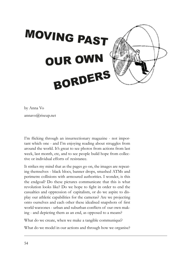

by Anna Vo

annavo@riseup.net

I'm flicking through an insurrectionary magazine - not important which one - and I'm enjoying reading about struggles from around the world. It's great to see photos from actions from last week, last month, etc, and to see people build hope from collective or individual efforts of resistance.

It strikes my mind that as the pages go on, the images are repeating themselves - black blocs, banner drops, smashed ATMs and perimetre collisions with armoured authorities. I wonder, is this the endgoal? Do these pictures communicate that this is what revolution looks like? Do we hope to fight in order to end the casualties and oppression of capitalism, or do we aspire to display our athletic capabilities for the cameras? Are we projecting onto ourselves and each other these idealised snapshots of first world warzones - urban and suburban conflicts of our own making - and depicting them as an end, as opposed to a means?

What do we create, when we make a tangible communiqué?

What do we model in our actions and through how we organise?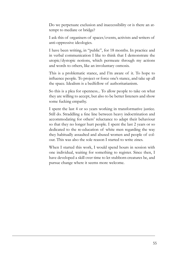Do we perpetuate exclusion and inaccessibility or is there an attempt to mediate or bridge?

I ask this of organisers of spaces/events, activists and writers of anti-oppressive ideologies.

I have been writing, in "public", for 18 months. In practice and in verbal communication I like to think that I demonstrate the utopic/dystopic notions, which permeate through my actions and words to others, like an involuntary osmosis.

This is a problematic stance, and I'm aware of it. To hope to influence people. To project or force one's stance, and take up all the space. Idealism is a bedfellow of authoritarianism.

So this is a plea for openness... To allow people to take on what they are willing to accept, but also to be better listeners and show some fucking empathy.

I spent the last 4 or so years working in transformative justice. Still do. Straddling a fine line between heavy indoctrination and accommodating for others' reluctance to adapt their behaviour so that they no longer hurt people. I spent the last 2 years or so dedicated to the re-education of white men regarding the way they habitually assaulted and abused women and people of colour. This was also the sole reason I started to write zines.

When I started this work, I would spend hours in session with one individual, waiting for something to register. Since then, I have developed a skill over time to let stubborn creatures be, and pursue change where it seems more welcome.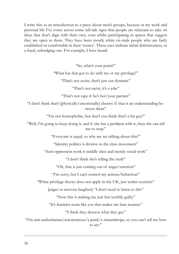I write this as an introduction to a piece about men's groups, because in my work and personal life I've come across some tell-tale signs that people are reluctant to take on ideas that don't align with their own, even whilst participating in spaces that suggest they are open to these. They have been mostly white cis-male people who are fairly established or comfortable in their 'scenes'. These cues indicate initial defensiveness, or a fixed, unbudging one. For example, I have heard:

"So, what's your point?"

"What has that got to do with me or my privilege?"

"That's not sexist, that's just our dynamic"

"That's not racist, it's a joke"

"That's not rape if he's her/your partner"

"I don't think that's [physically/emotionally] abusive if that is an understanding between them"

"I'm not homophobic, but don't you think that's a bit gay?"

"Well, I'm going to keep doing it, and if she has a problem with it, then she can tell me to stop."

"Everyone is equal, so why are we talking about this?"

"Identity politics is divisive to the class movement"

"Anti-oppression work is middle class and merely social work"

"I don't think she's telling the truth"

"Oh, that is just coming out of anger/emotion"

"I'm sorry, but I can't control my actions/behaviour"

"White privilege theory does not apply in the UK, just settler societies"

[anger or nervous laughter] "I don't need to listen to this"

"Now this is making me just feel terribly guilty"

"It's feminist scum like you that makes me hate women."

"I think they deserve what they get."

"I'm anti-authoritarian/autonomous/a punk/a misanthrope, so you can't tell me how to act."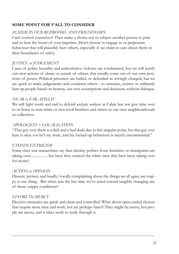# **SOME POINT FOR Y'ALL TO CONSIDER**

# *SEXISM IN OUR BEDROOMS AND FRIENDSHIPS*

Can't control yourselves? Then make a choice not to subject another person to pain and to bear the brunt of your impulses. Don't choose to engage in or perpetuate behaviour that will plausibly hurt others, especially if we claim to care about them or their boundaries of safety.

# *JUSTICE vs JUDGEMENT*

Cases of police brutality and authoritative violence are condemned, but we will justify our own actions of abuse or assault of others, that usually come out of our own positions of power. Political prisoners are hailed, or defended as wrongly charged, but we are quick to make judgements and condemn others - to ostracise, restrict or militantly beat up people based on hearsay, our own assumptions and decisions, without dialogue.

# *NEAR vs FAR AFIELD*

We will fight tooth and nail to defend asylum seekers at Calais but not give time over to or listen to non-white or non-local brothers and sisters in our own neighbourhoods or collectives.

# *APOLOGISTS + LOCALISATION*

"That guy over there is a dick and a bad dude due to this singular point, but this guy over here is okay cos he's my mate, and his fucked-up behaviour is merely circumstantial."

# *ETHNOCENTRICISM*

Some class war manarchists say that identity politics from feminists or immigrants are taking over.................. but have they noticed the white men that have been taking over for aeons?

## *ACTION vs OPINION*

Dissent, protest, and loudly/vocally complaining about the things we all agree are crappy is one thing... But when was the last time we've acted toward tangibly changing any of those crappy conditions?

# *EFFORT IN MERCY*

Decisive measures are quick and clean and controlled. What about open-ended choices that require more time and work, but are perhaps fairer? They might be messy, but people are messy, and it takes work to wade through it.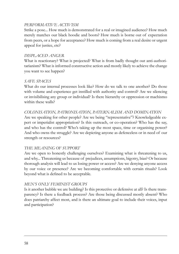## *PERFORMATIVE ACTIVISM*

Strike a pose... How much is demonstrated for a real or imagined audience? How much merely matches our black hoodie and boots? How much is borne out of expectation from peers, or a hope for acceptance? How much is coming from a real desire or urgent appeal for justice, etc?

### *DISPLACED ANGER*

What is reactionary? What is projected? What is from badly thought out anti-authoritarianism? What is informed constructive action and mostly likely to achieve the change you want to see happen?

#### *SAFE SPACES*

What do our internal processes look like? How do we talk to one another? Do those with volume and experience get instilled with authority and control? Are we silencing or invisibilising any group or individual? Is there hierarchy or oppression or machismo within these walls?

### *COLONISATION, PATRONISATION, PATERNALISM AND DOMINATION*

Are we speaking for other people? Are we being "representative"? Knowledgeable expert or imperialist appropriation? Is this outreach, or co-operation? Who has the say, and who has the control? Who's taking up the most space, time or organising power? And who owns the struggle? Are we depicting anyone as defenceless or in need of our strength or resources?

### *THE MEANING OF SUPPORT*

Are we open to honestly challenging ourselves? Examining what is threatening to us, and why... Threatening us because of prejudices, assumptions, bigotry, bias? Or because thorough analysis will lead to us losing power or access? Are we denying anyone access by our voice or presence? Are we becoming comfortable with certain rituals? Look beyond what is defined to be acceptable.

#### *MEN'S ONLY FEMINIST GROUPS*

Is it another bubble we are building? Is this protective or defensive at all? Is there transparency? Is there a feedback process? Are those being discussed mostly absent? Who does patriarchy affect most, and is there an ultimate goal to include their voices, input and participation?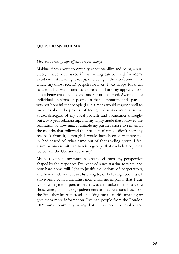### **QUESTIONS FOR ME?**

#### *How have men's groups affected me personally?*

Making zines about community accountability and being a survivor, I have been asked if my writing can be used for Men's Pro-Feminist Reading Groups, one being in the city/community where my (most recent) perpetrator lives. I was happy for them to use it, but was scared to express or share my apprehension about being critiqued, judged, and/or not believed. Aware of the individual opinions of people in that community and space, I was not hopeful that people (i.e. cis-men) would respond well to my zines about the process of trying to discuss continual sexual abuse/disregard of my vocal protests and boundaries throughout a two-year relationship, and my angry tirade that followed the realisation of how unaccountable my partner chose to remain in the months that followed the final act of rape. I didn't hear any feedback from it, although I would have been very interested in (and scared of) what came out of that reading group. I feel a similar unease with anti-racism groups that exclude People of Colour (in the UK and Germany).

My bias contains my wariness around cis-men, my perspective shaped by the responses I've received since starting to write, and how hard some will fight to justify the actions of perpetrators, and how much some resist listening to, or believing accounts of survivors. I've had anarchist men email me implying that I was lying, telling me in person that it was a mistake for me to write those zines, and making judgements and accusations based on the little they knew instead of asking me to clarify anything or give them more information. I've had people from the London DIY punk community saying that it was too unbelievable and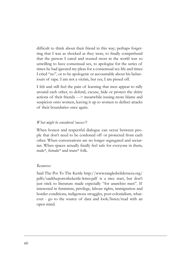difficult to think about their friend in this way; perhaps forgetting that I was as shocked as they were, to finally comprehend that the person I cared and trusted most in the world was so unwilling to have consensual sex, to apologise for the series of times he had ignored my pleas for a consensual sex life and times I cried "no", or to be apologetic or accountable about his behaviours of rape. I am not a victim, but yes, I am pissed off.

I felt and still feel the pain of learning that men appear to rally around each other, to defend, excuse, hide or protect the shitty actions of their friends ---> meanwhile issuing more blame and suspicion onto women, leaving it up to women to deflect attacks of their boundaries once again.

#### *What might be considered 'success'?*

When honest and respectful dialogue can occur between people that don't need to be cordoned off or protected from each other. When conversations are no longer segregated and sectarian. When spaces actually finally feel safe for everyone in them, male\*, female\* and trans\* folk.

#### *Resources:*

Said The Pot To The Kettle http://www.tangledwilderness.org/ pdfs/saidthepottothekettle-letter.pdf is a nice start, but don't just stick to literature made especially "for anarchist men". If interested in feminism, privilege, labour rights, immigration and border conditions, indigenous struggles, post-colonialism, whatever - go to the source of data and look/listen/read with an open mind.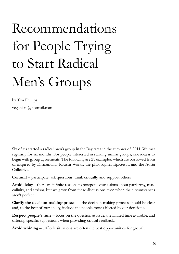# Recommendations for People Trying to Start Radical Men's Groups

by Tim Phillips veganism@hotmail.com

Six of us started a radical men's group in the Bay Area in the summer of 2011. We met regularly for six months. For people interested in starting similar groups, one idea is to begin with group agreements. The following are 21 examples, which are borrowed from or inspired by Dismantling Racism Works, the philosopher Epictetus, and the Aorta Collective.

**Commit** – participate, ask questions, think critically, and support others.

**Avoid delay** – there are infinite reasons to postpone discussions about patriarchy, masculinity, and sexism, but we grow from these discussions even when the circumstances aren't perfect.

**Clarify the decision-making process** – the decision-making process should be clear and, to the best of our ability, include the people most affected by our decisions.

**Respect people's time** – focus on the question at issue, the limited time available, and offering specific suggestions when providing critical feedback.

**Avoid whining** – difficult situations are often the best opportunities for growth.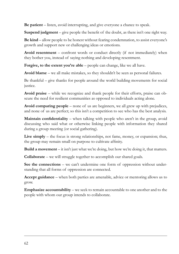**Be patient** – listen, avoid interrupting, and give everyone a chance to speak.

**Suspend judgment** – give people the benefit of the doubt, as there isn't one right way.

**Be kind** – allow people to be honest without fearing condemnation, to assist everyone's growth and support new or challenging ideas or emotions.

**Avoid resentment** – confront words or conduct directly (if not immediately) when they bother you, instead of saying nothing and developing resentment.

**Forgive, to the extent you're able** – people can change, like we all have.

**Avoid blame** – we all make mistakes, so they shouldn't be seen as personal failures.

Be thankful – give thanks for people around the world building movements for social justice.

**Avoid praise** – while we recognize and thank people for their efforts, praise can obscure the need for resilient communities as opposed to individuals acting alone.

**Avoid comparing people** – none of us are beginners, we all grew up with prejudices, and none of us are perfect; so this isn't a competition to see who has the best analysis.

**Maintain confidentiality** – when talking with people who aren't in the group, avoid discussing who said what or otherwise linking people with information they shared during a group meeting (or social gathering).

**Live simply** – the focus is strong relationships, not fame, money, or expansion; thus, the group may remain small on purpose to cultivate affinity.

**Build a movement** – it isn't just what we're doing, but how we're doing it, that matters.

**Collaborate** – we will struggle together to accomplish our shared goals.

**See the connections** – we can't undermine one form of oppression without understanding that all forms of oppression are connected.

**Accept guidance** – when both parties are amenable, advice or mentoring allows us to grow.

**Emphasize accountability** – we seek to remain accountable to one another and to the people with whom our group intends to collaborate.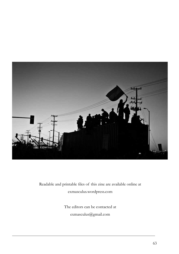

Readable and printable files of this zine are available online at exmasculus.wordpress.com

> The editors can be contacted at exmasculus@gmail.com